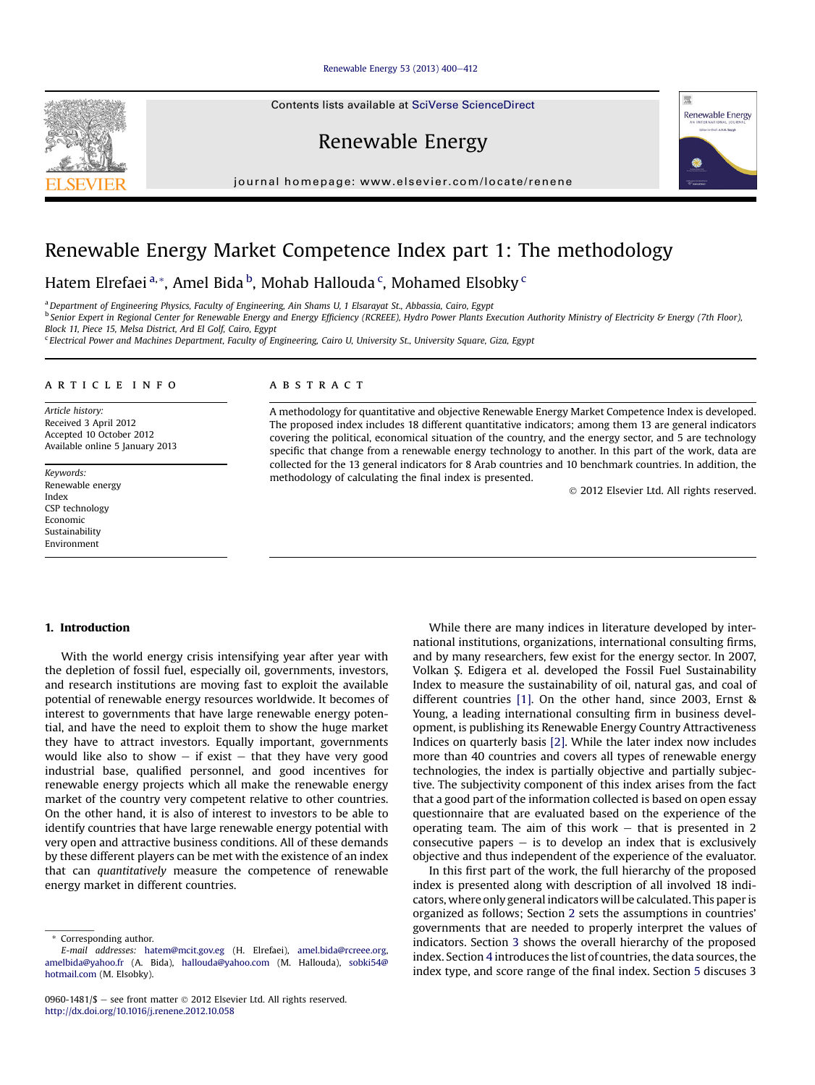#### [Renewable Energy 53 \(2013\) 400](http://dx.doi.org/10.1016/j.renene.2012.10.058)-[412](http://dx.doi.org/10.1016/j.renene.2012.10.058)

Contents lists available at SciVerse ScienceDirect

Renewable Energy

journal homepage: [www.elsevier.com/locate/renene](http://www.elsevier.com/locate/renene)

## Renewable Energy Market Competence Index part 1: The methodology

Hatem Elrefaei<sup>a,</sup>\*, Amel Bida <sup>b</sup>, Mohab Hallouda <sup>c</sup>, Mohamed Elsobky <sup>c</sup>

<sup>a</sup> Department of Engineering Physics, Faculty of Engineering, Ain Shams U, 1 Elsarayat St., Abbassia, Cairo, Egypt <sup>b</sup> Senior Expert in Regional Center for Renewable Energy and Energy Efficiency (RCREEE), Hydro Power Plants Execution Authority Ministry of Electricity & Energy (7th Floor), Block 11, Piece 15, Melsa District, Ard El Golf, Cairo, Egypt

<sup>c</sup> Electrical Power and Machines Department, Faculty of Engineering, Cairo U, University St., University Square, Giza, Egypt

#### article info

Article history: Received 3 April 2012 Accepted 10 October 2012 Available online 5 January 2013

Keywords: Renewable energy Index CSP technology Economic Sustainability Environment

#### ABSTRACT

A methodology for quantitative and objective Renewable Energy Market Competence Index is developed. The proposed index includes 18 different quantitative indicators; among them 13 are general indicators covering the political, economical situation of the country, and the energy sector, and 5 are technology specific that change from a renewable energy technology to another. In this part of the work, data are collected for the 13 general indicators for 8 Arab countries and 10 benchmark countries. In addition, the methodology of calculating the final index is presented.

2012 Elsevier Ltd. All rights reserved.

#### 1. Introduction

With the world energy crisis intensifying year after year with the depletion of fossil fuel, especially oil, governments, investors, and research institutions are moving fast to exploit the available potential of renewable energy resources worldwide. It becomes of interest to governments that have large renewable energy potential, and have the need to exploit them to show the huge market they have to attract investors. Equally important, governments would like also to show  $-$  if exist  $-$  that they have very good industrial base, qualified personnel, and good incentives for renewable energy projects which all make the renewable energy market of the country very competent relative to other countries. On the other hand, it is also of interest to investors to be able to identify countries that have large renewable energy potential with very open and attractive business conditions. All of these demands by these different players can be met with the existence of an index that can quantitatively measure the competence of renewable energy market in different countries.

While there are many indices in literature developed by international institutions, organizations, international consulting firms, and by many researchers, few exist for the energy sector. In 2007, Volkan S. Edigera et al. developed the Fossil Fuel Sustainability Index to measure the sustainability of oil, natural gas, and coal of different countries [\[1\]](#page--1-0). On the other hand, since 2003, Ernst & Young, a leading international consulting firm in business development, is publishing its Renewable Energy Country Attractiveness Indices on quarterly basis [\[2\].](#page--1-0) While the later index now includes more than 40 countries and covers all types of renewable energy technologies, the index is partially objective and partially subjective. The subjectivity component of this index arises from the fact that a good part of the information collected is based on open essay questionnaire that are evaluated based on the experience of the operating team. The aim of this work  $-$  that is presented in 2 consecutive papers  $-$  is to develop an index that is exclusively objective and thus independent of the experience of the evaluator.

In this first part of the work, the full hierarchy of the proposed index is presented along with description of all involved 18 indicators, where only general indicators will be calculated. This paper is organized as follows; Section [2](#page-1-0) sets the assumptions in countries' governments that are needed to properly interpret the values of indicators. Section [3](#page-1-0) shows the overall hierarchy of the proposed index. Section [4](#page-1-0) introduces the list of countries, the data sources, the index type, and score range of the final index. Section [5](#page-1-0) discuses 3





<sup>\*</sup> Corresponding author.

E-mail addresses: [hatem@mcit.gov.eg](mailto:hatem@mcit.gov.eg) (H. Elrefaei), [amel.bida@rcreee.org](mailto:amel.bida@rcreee.org), [amelbida@yahoo.fr](mailto:amelbida@yahoo.fr) (A. Bida), [hallouda@yahoo.com](mailto:hallouda@yahoo.com) (M. Hallouda), [sobki54@](mailto:sobki54@hotmail.com) [hotmail.com](mailto:sobki54@hotmail.com) (M. Elsobky).

<sup>0960-1481/\$ -</sup> see front matter  $@$  2012 Elsevier Ltd. All rights reserved. <http://dx.doi.org/10.1016/j.renene.2012.10.058>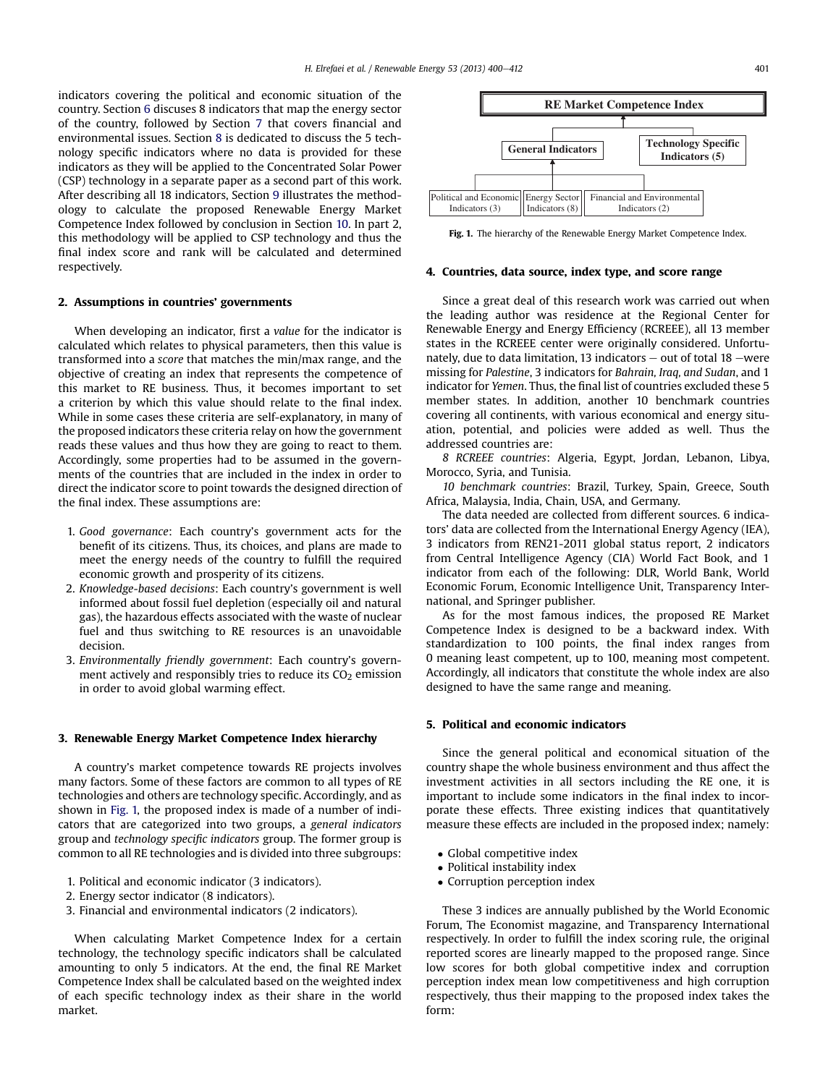<span id="page-1-0"></span>indicators covering the political and economic situation of the country. Section [6](#page--1-0) discuses 8 indicators that map the energy sector of the country, followed by Section [7](#page--1-0) that covers financial and environmental issues. Section [8](#page--1-0) is dedicated to discuss the 5 technology specific indicators where no data is provided for these indicators as they will be applied to the Concentrated Solar Power (CSP) technology in a separate paper as a second part of this work. After describing all 18 indicators, Section [9](#page--1-0) illustrates the methodology to calculate the proposed Renewable Energy Market Competence Index followed by conclusion in Section [10.](#page--1-0) In part 2, this methodology will be applied to CSP technology and thus the final index score and rank will be calculated and determined respectively.

#### 2. Assumptions in countries' governments

When developing an indicator, first a value for the indicator is calculated which relates to physical parameters, then this value is transformed into a score that matches the min/max range, and the objective of creating an index that represents the competence of this market to RE business. Thus, it becomes important to set a criterion by which this value should relate to the final index. While in some cases these criteria are self-explanatory, in many of the proposed indicators these criteria relay on how the government reads these values and thus how they are going to react to them. Accordingly, some properties had to be assumed in the governments of the countries that are included in the index in order to direct the indicator score to point towards the designed direction of the final index. These assumptions are:

- 1. Good governance: Each country's government acts for the benefit of its citizens. Thus, its choices, and plans are made to meet the energy needs of the country to fulfill the required economic growth and prosperity of its citizens.
- 2. Knowledge-based decisions: Each country's government is well informed about fossil fuel depletion (especially oil and natural gas), the hazardous effects associated with the waste of nuclear fuel and thus switching to RE resources is an unavoidable decision.
- 3. Environmentally friendly government: Each country's government actively and responsibly tries to reduce its  $CO<sub>2</sub>$  emission in order to avoid global warming effect.

#### 3. Renewable Energy Market Competence Index hierarchy

A country's market competence towards RE projects involves many factors. Some of these factors are common to all types of RE technologies and others are technology specific. Accordingly, and as shown in Fig. 1, the proposed index is made of a number of indicators that are categorized into two groups, a general indicators group and technology specific indicators group. The former group is common to all RE technologies and is divided into three subgroups:

- 1. Political and economic indicator (3 indicators).
- 2. Energy sector indicator (8 indicators).
- 3. Financial and environmental indicators (2 indicators).

When calculating Market Competence Index for a certain technology, the technology specific indicators shall be calculated amounting to only 5 indicators. At the end, the final RE Market Competence Index shall be calculated based on the weighted index of each specific technology index as their share in the world market.



Fig. 1. The hierarchy of the Renewable Energy Market Competence Index.

#### 4. Countries, data source, index type, and score range

Since a great deal of this research work was carried out when the leading author was residence at the Regional Center for Renewable Energy and Energy Efficiency (RCREEE), all 13 member states in the RCREEE center were originally considered. Unfortunately, due to data limitation, 13 indicators  $-$  out of total 18  $-$ were missing for Palestine, 3 indicators for Bahrain, Iraq, and Sudan, and 1 indicator for Yemen. Thus, the final list of countries excluded these 5 member states. In addition, another 10 benchmark countries covering all continents, with various economical and energy situation, potential, and policies were added as well. Thus the addressed countries are:

8 RCREEE countries: Algeria, Egypt, Jordan, Lebanon, Libya, Morocco, Syria, and Tunisia.

10 benchmark countries: Brazil, Turkey, Spain, Greece, South Africa, Malaysia, India, Chain, USA, and Germany.

The data needed are collected from different sources. 6 indicators' data are collected from the International Energy Agency (IEA), 3 indicators from REN21-2011 global status report, 2 indicators from Central Intelligence Agency (CIA) World Fact Book, and 1 indicator from each of the following: DLR, World Bank, World Economic Forum, Economic Intelligence Unit, Transparency International, and Springer publisher.

As for the most famous indices, the proposed RE Market Competence Index is designed to be a backward index. With standardization to 100 points, the final index ranges from 0 meaning least competent, up to 100, meaning most competent. Accordingly, all indicators that constitute the whole index are also designed to have the same range and meaning.

### 5. Political and economic indicators

Since the general political and economical situation of the country shape the whole business environment and thus affect the investment activities in all sectors including the RE one, it is important to include some indicators in the final index to incorporate these effects. Three existing indices that quantitatively measure these effects are included in the proposed index; namely:

- Global competitive index
- Political instability index
- Corruption perception index

These 3 indices are annually published by the World Economic Forum, The Economist magazine, and Transparency International respectively. In order to fulfill the index scoring rule, the original reported scores are linearly mapped to the proposed range. Since low scores for both global competitive index and corruption perception index mean low competitiveness and high corruption respectively, thus their mapping to the proposed index takes the form: